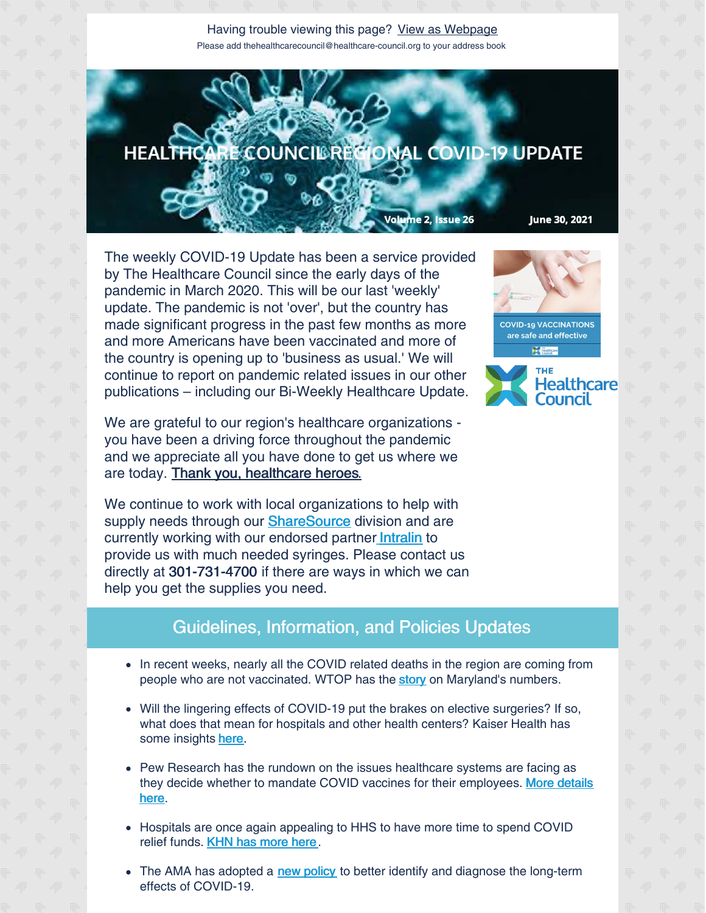## Having trouble viewing this page? View as [Webpage](http://campaign.r20.constantcontact.com/render?ca=2f18c6a9-4eca-4a27-9047-c1be6a0c6bba&preview=true&m=1135298390468&id=preview) Please add thehealthcarecouncil@healthcare-council.org to your address book



The weekly COVID-19 Update has been a service provided by The Healthcare Council since the early days of the pandemic in March 2020. This will be our last 'weekly' update. The pandemic is not 'over', but the country has made significant progress in the past few months as more and more Americans have been vaccinated and more of the country is opening up to 'business as usual.' We will continue to report on pandemic related issues in our other publications – including our Bi-Weekly Healthcare Update.

We are grateful to our region's healthcare organizations you have been a driving force throughout the pandemic and we appreciate all you have done to get us where we are today. Thank you, healthcare heroes.

We continue to work with local organizations to help with supply needs through our **[ShareSource](https://www.share-source.org/)** division and are cu[r](http://intralin.com/)rently working with our endorsed partner [Intralin](http://intralin.com/) to provide us with much needed syringes. Please contact us directly at 301-731-4700 if there are ways in which we can help you get the supplies you need.

## Guidelines, Information, and Policies Updates

- In recent weeks, nearly all the COVID related deaths in the region are coming from people who are not vaccinated. WTOP has the [story](https://wtop.com/maryland/2021/06/unvaccinated-marylanders-account-for-nearly-all-recent-deaths-health-chief-says/) on Maryland's numbers.
- Will the lingering effects of COVID-19 put the brakes on elective surgeries? If so, what does that mean for hospitals and other health centers? Kaiser Health has some insights [here](https://khn.org/news/article/post-pandemic-covid-elective-surgery/).
- Pew Research has the rundown on the issues healthcare systems are facing as they decide whether to mandate COVID vaccines for their [employees.](https://www.pewtrusts.org/en/research-and-analysis/blogs/stateline/2021/06/21/hospitals-start-requiring-workers-to-get-covid-shots) More details here.
- Hospitals are once again appealing to HHS to have more time to spend COVID relief funds. KHN has [more](https://khn.org/morning-breakout/hospitals-appeal-again-to-hhs-for-more-time-to-spend-covid-relief-funds/) here.
- The AMA has adopted a new [policy](https://www.hpnonline.com/infection-prevention/screening-surveillance/article/21227949/ama-adopts-policy-to-better-diagnose-and-treat-longhaul-covid19?utm_source=HPN+Daily+Newsletter&utm_medium=email&utm_campaign=CPS210622102&o_eid=8887J6354667A2S&rdx.ident=%5Bobject+Object%5D&oly_enc_id=8887J6354667A2S) to better identify and diagnose the long-term effects of COVID-19.



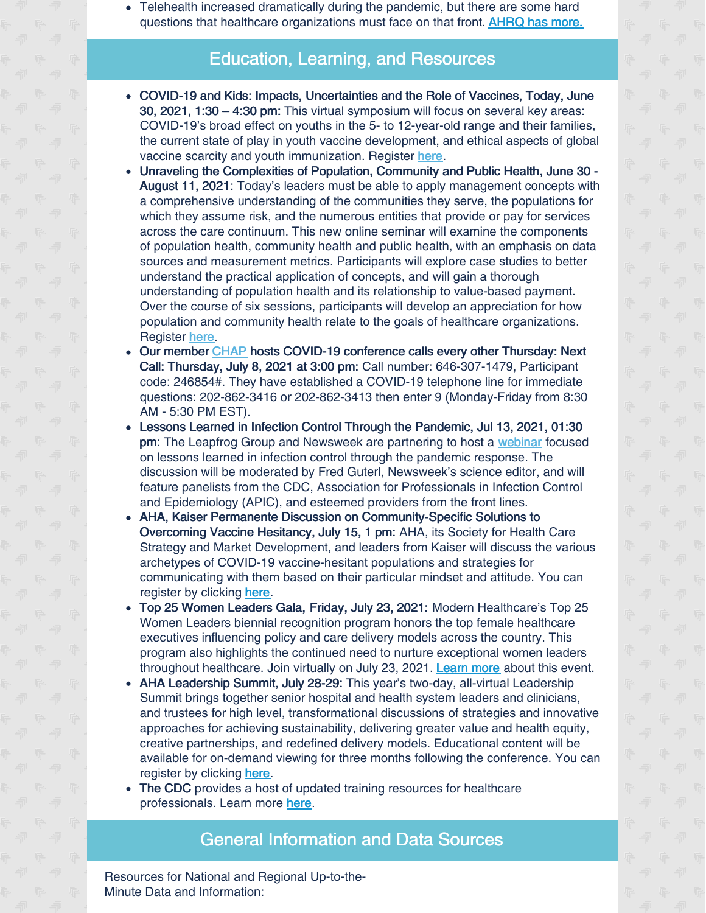Telehealth increased dramatically during the pandemic, but there are some hard questions that healthcare organizations must face on that front. **[AHRQ](https://www.ahrq.gov/news/blog/ahrqviews/hard-questions-about-telehealth.html) has more.** 

## Education, Learning, and Resources

- COVID-19 and Kids: Impacts, Uncertainties and the Role of Vaccines, Today, June 30, 2021, 1:30 – 4:30 pm: This virtual symposium will focus on several key areas: COVID-19's broad effect on youths in the 5- to 12-year-old range and their families, the current state of play in youth vaccine development, and ethical aspects of global vaccine scarcity and youth immunization. Register [here](https://coronavirus.jhu.edu/live/events/covid-19-and-kids-impacts-uncertainties-and-the-role-of-vaccines?utm_source=Public+Health+Updates&utm_campaign=e0090e4388-EMAIL_CAMPAIGN_2020_07_13_04_02_COPY_01&utm_medium=email&utm_term=0_7b4655f81b-e0090e4388-198036863).
- Unraveling the Complexities of Population, Community and Public Health, June 30  $\bullet$ August 11, 2021: Today's leaders must be able to apply management concepts with a comprehensive understanding of the communities they serve, the populations for which they assume risk, and the numerous entities that provide or pay for services across the care continuum. This new online seminar will examine the components of population health, community health and public health, with an emphasis on data sources and measurement metrics. Participants will explore case studies to better understand the practical application of concepts, and will gain a thorough understanding of population health and its relationship to value-based payment. Over the course of six sessions, participants will develop an appreciation for how population and community health relate to the goals of healthcare organizations. [Register](https://www.ache.org/learning-center/education-and-events/events/single-session-events/ONLPOPL121) [here](https://www.ache.org/learning-center/education-and-events/events/single-session-events/ONLPOPL121).
- Our member [CHAP](https://chapinc.org) hosts COVID-19 conference calls every other Thursday: Next Call: Thursday, July 8, 2021 at 3:00 pm: Call number: 646-307-1479, Participant code: 246854#. They have established a COVID-19 telephone line for immediate questions: 202-862-3416 or 202-862-3413 then enter 9 (Monday-Friday from 8:30 AM - 5:30 PM EST).
- Lessons Learned in Infection Control Through the Pandemic, Jul 13, 2021, 01:30 pm: The Leapfrog Group and Newsweek are partnering to host a [webinar](https://leapfroggroup.zoom.us/webinar/register/WN_noHN8rb7SKa48JDmyxbQIQ) focused on lessons learned in infection control through the pandemic response. The discussion will be moderated by Fred Guterl, Newsweek's science editor, and will feature panelists from the CDC, Association for Professionals in Infection Control and Epidemiology (APIC), and esteemed providers from the front lines.
- AHA, Kaiser Permanente Discussion on Community-Specific Solutions to Overcoming Vaccine Hesitancy, July 15, 1 pm: AHA, its Society for Health Care Strategy and Market Development, and leaders from Kaiser will discuss the various archetypes of COVID-19 vaccine-hesitant populations and strategies for communicating with them based on their particular mindset and attitude. You can register by clicking [here](https://www.aha.org/joining-hands-greater-impact?utm_source=newsletter&utm_medium=email&utm_content=06232021%2Dee%2Dprofile3&utm_campaign=aha%2Deventsandeducation).
- Top 25 Women Leaders Gala, Friday, July 23, 2021: Modern Healthcare's Top 25 Women Leaders biennial recognition program honors the top female healthcare executives influencing policy and care delivery models across the country. This program also highlights the continued need to nurture exceptional women leaders throughout healthcare. Join virtually on July 23, 2021. [Learn](https://www.women-leaders.modernhealthcare.com/?adobe_mc=MCMID%3D83421733259426837160359573215043496587%7CMCORGID%3D138FFF2554E6E7220A4C98C6%2540AdobeOrg%7CTS%3D1624453911) more about this event.
- AHA Leadership Summit, July 28-29: This year's two-day, all-virtual Leadership Summit brings together senior hospital and health system leaders and clinicians, and trustees for high level, transformational discussions of strategies and innovative approaches for achieving sustainability, delivering greater value and health equity, creative partnerships, and redefined delivery models. Educational content will be available for on-demand viewing for three months following the conference. You can register by clicking [here](https://leadershipsummit.aha.org/registration-ls?utm_source=newsletter-eventseducation&utm_medium=email&utm_campaign=2021-Summit-Registration).
- The CDC provides a host of updated training resources for healthcare professionals. Learn more [here](https://www.cdc.gov/coronavirus/2019-ncov/hcp/training.html).

## General Information and Data Sources

Resources for National and Regional Up-to-the-Minute Data and Information: